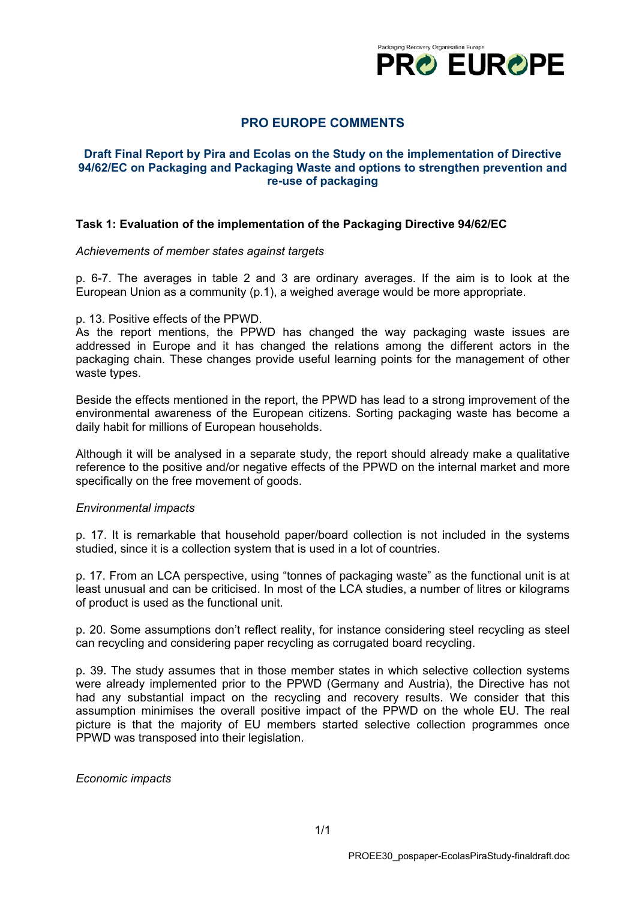

# **PRO EUROPE COMMENTS**

## **Draft Final Report by Pira and Ecolas on the Study on the implementation of Directive 94/62/EC on Packaging and Packaging Waste and options to strengthen prevention and re-use of packaging**

### **Task 1: Evaluation of the implementation of the Packaging Directive 94/62/EC**

*Achievements of member states against targets*

p. 6-7. The averages in table 2 and 3 are ordinary averages. If the aim is to look at the European Union as a community (p.1), a weighed average would be more appropriate.

#### p. 13. Positive effects of the PPWD.

As the report mentions, the PPWD has changed the way packaging waste issues are addressed in Europe and it has changed the relations among the different actors in the packaging chain. These changes provide useful learning points for the management of other waste types.

Beside the effects mentioned in the report, the PPWD has lead to a strong improvement of the environmental awareness of the European citizens. Sorting packaging waste has become a daily habit for millions of European households.

Although it will be analysed in a separate study, the report should already make a qualitative reference to the positive and/or negative effects of the PPWD on the internal market and more specifically on the free movement of goods.

### *Environmental impacts*

p. 17. It is remarkable that household paper/board collection is not included in the systems studied, since it is a collection system that is used in a lot of countries.

p. 17. From an LCA perspective, using "tonnes of packaging waste" as the functional unit is at least unusual and can be criticised. In most of the LCA studies, a number of litres or kilograms of product is used as the functional unit.

p. 20. Some assumptions don't reflect reality, for instance considering steel recycling as steel can recycling and considering paper recycling as corrugated board recycling.

p. 39. The study assumes that in those member states in which selective collection systems were already implemented prior to the PPWD (Germany and Austria), the Directive has not had any substantial impact on the recycling and recovery results. We consider that this assumption minimises the overall positive impact of the PPWD on the whole EU. The real picture is that the majority of EU members started selective collection programmes once PPWD was transposed into their legislation.

*Economic impacts*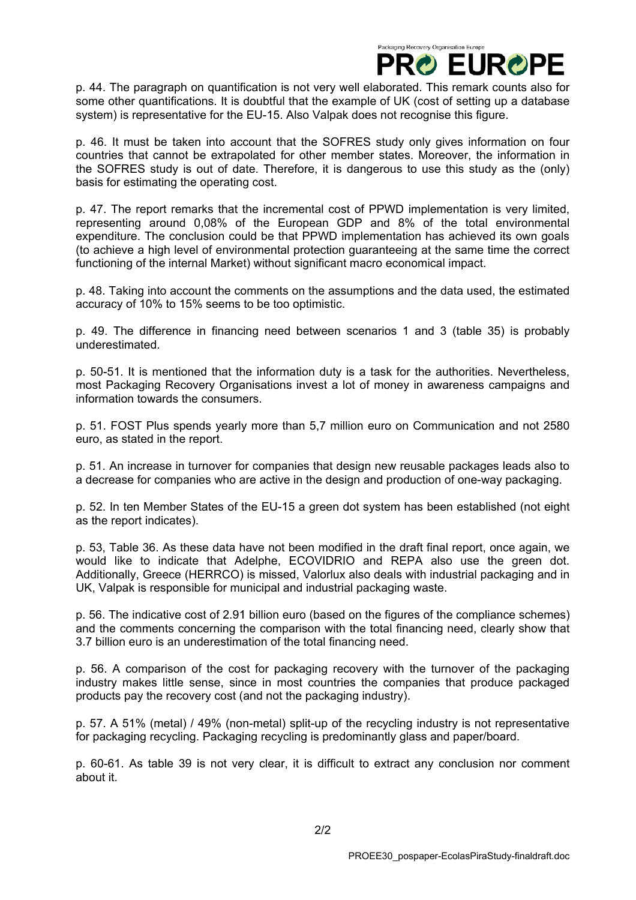

p. 44. The paragraph on quantification is not very well elaborated. This remark counts also for some other quantifications. It is doubtful that the example of UK (cost of setting up a database system) is representative for the EU-15. Also Valpak does not recognise this figure.

p. 46. It must be taken into account that the SOFRES study only gives information on four countries that cannot be extrapolated for other member states. Moreover, the information in the SOFRES study is out of date. Therefore, it is dangerous to use this study as the (only) basis for estimating the operating cost.

p. 47. The report remarks that the incremental cost of PPWD implementation is very limited, representing around 0,08% of the European GDP and 8% of the total environmental expenditure. The conclusion could be that PPWD implementation has achieved its own goals (to achieve a high level of environmental protection guaranteeing at the same time the correct functioning of the internal Market) without significant macro economical impact.

p. 48. Taking into account the comments on the assumptions and the data used, the estimated accuracy of 10% to 15% seems to be too optimistic.

p. 49. The difference in financing need between scenarios 1 and 3 (table 35) is probably underestimated.

p. 50-51. It is mentioned that the information duty is a task for the authorities. Nevertheless, most Packaging Recovery Organisations invest a lot of money in awareness campaigns and information towards the consumers.

p. 51. FOST Plus spends yearly more than 5,7 million euro on Communication and not 2580 euro, as stated in the report.

p. 51. An increase in turnover for companies that design new reusable packages leads also to a decrease for companies who are active in the design and production of one-way packaging.

p. 52. In ten Member States of the EU-15 a green dot system has been established (not eight as the report indicates).

p. 53, Table 36. As these data have not been modified in the draft final report, once again, we would like to indicate that Adelphe, ECOVIDRIO and REPA also use the green dot. Additionally, Greece (HERRCO) is missed, Valorlux also deals with industrial packaging and in UK, Valpak is responsible for municipal and industrial packaging waste.

p. 56. The indicative cost of 2.91 billion euro (based on the figures of the compliance schemes) and the comments concerning the comparison with the total financing need, clearly show that 3.7 billion euro is an underestimation of the total financing need.

p. 56. A comparison of the cost for packaging recovery with the turnover of the packaging industry makes little sense, since in most countries the companies that produce packaged products pay the recovery cost (and not the packaging industry).

p. 57. A 51% (metal) / 49% (non-metal) split-up of the recycling industry is not representative for packaging recycling. Packaging recycling is predominantly glass and paper/board.

p. 60-61. As table 39 is not very clear, it is difficult to extract any conclusion nor comment about it.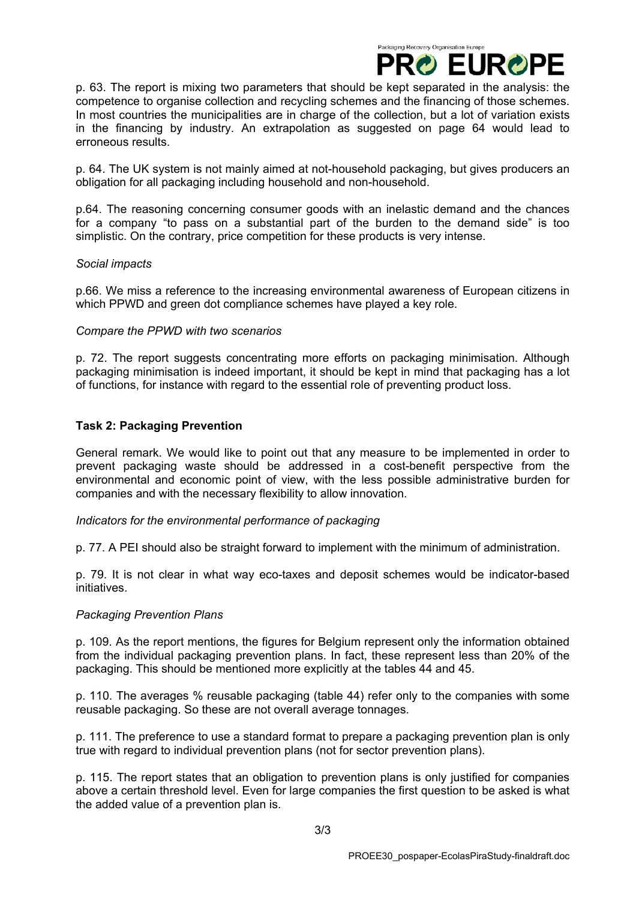

p. 63. The report is mixing two parameters that should be kept separated in the analysis: the competence to organise collection and recycling schemes and the financing of those schemes. In most countries the municipalities are in charge of the collection, but a lot of variation exists in the financing by industry. An extrapolation as suggested on page 64 would lead to erroneous results.

p. 64. The UK system is not mainly aimed at not-household packaging, but gives producers an obligation for all packaging including household and non-household.

p.64. The reasoning concerning consumer goods with an inelastic demand and the chances for a company "to pass on a substantial part of the burden to the demand side" is too simplistic. On the contrary, price competition for these products is very intense.

### *Social impacts*

p.66. We miss a reference to the increasing environmental awareness of European citizens in which PPWD and green dot compliance schemes have played a key role.

### *Compare the PPWD with two scenarios*

p. 72. The report suggests concentrating more efforts on packaging minimisation. Although packaging minimisation is indeed important, it should be kept in mind that packaging has a lot of functions, for instance with regard to the essential role of preventing product loss.

# **Task 2: Packaging Prevention**

General remark. We would like to point out that any measure to be implemented in order to prevent packaging waste should be addressed in a cost-benefit perspective from the environmental and economic point of view, with the less possible administrative burden for companies and with the necessary flexibility to allow innovation.

### *Indicators for the environmental performance of packaging*

p. 77. A PEI should also be straight forward to implement with the minimum of administration.

p. 79. It is not clear in what way eco-taxes and deposit schemes would be indicator-based initiatives.

### *Packaging Prevention Plans*

p. 109. As the report mentions, the figures for Belgium represent only the information obtained from the individual packaging prevention plans. In fact, these represent less than 20% of the packaging. This should be mentioned more explicitly at the tables 44 and 45.

p. 110. The averages % reusable packaging (table 44) refer only to the companies with some reusable packaging. So these are not overall average tonnages.

p. 111. The preference to use a standard format to prepare a packaging prevention plan is only true with regard to individual prevention plans (not for sector prevention plans).

p. 115. The report states that an obligation to prevention plans is only justified for companies above a certain threshold level. Even for large companies the first question to be asked is what the added value of a prevention plan is.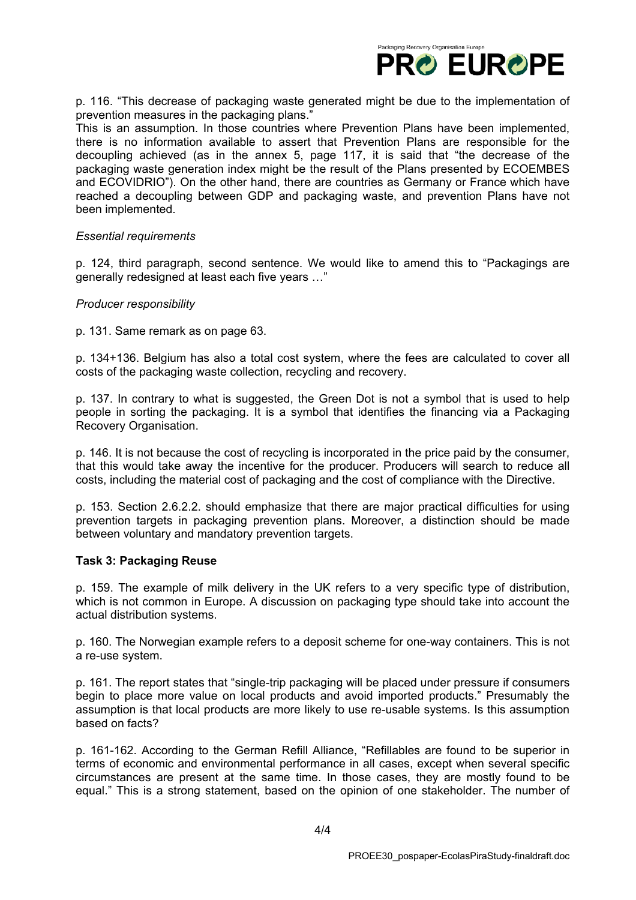

p. 116. "This decrease of packaging waste generated might be due to the implementation of prevention measures in the packaging plans."

This is an assumption. In those countries where Prevention Plans have been implemented, there is no information available to assert that Prevention Plans are responsible for the decoupling achieved (as in the annex 5, page 117, it is said that "the decrease of the packaging waste generation index might be the result of the Plans presented by ECOEMBES and ECOVIDRIO"). On the other hand, there are countries as Germany or France which have reached a decoupling between GDP and packaging waste, and prevention Plans have not been implemented.

### *Essential requirements*

p. 124, third paragraph, second sentence. We would like to amend this to "Packagings are generally redesigned at least each five years …"

#### *Producer responsibility*

p. 131. Same remark as on page 63.

p. 134+136. Belgium has also a total cost system, where the fees are calculated to cover all costs of the packaging waste collection, recycling and recovery.

p. 137. In contrary to what is suggested, the Green Dot is not a symbol that is used to help people in sorting the packaging. It is a symbol that identifies the financing via a Packaging Recovery Organisation.

p. 146. It is not because the cost of recycling is incorporated in the price paid by the consumer, that this would take away the incentive for the producer. Producers will search to reduce all costs, including the material cost of packaging and the cost of compliance with the Directive.

p. 153. Section 2.6.2.2. should emphasize that there are major practical difficulties for using prevention targets in packaging prevention plans. Moreover, a distinction should be made between voluntary and mandatory prevention targets.

### **Task 3: Packaging Reuse**

p. 159. The example of milk delivery in the UK refers to a very specific type of distribution, which is not common in Europe. A discussion on packaging type should take into account the actual distribution systems.

p. 160. The Norwegian example refers to a deposit scheme for one-way containers. This is not a re-use system.

p. 161. The report states that "single-trip packaging will be placed under pressure if consumers begin to place more value on local products and avoid imported products." Presumably the assumption is that local products are more likely to use re-usable systems. Is this assumption based on facts?

p. 161-162. According to the German Refill Alliance, "Refillables are found to be superior in terms of economic and environmental performance in all cases, except when several specific circumstances are present at the same time. In those cases, they are mostly found to be equal." This is a strong statement, based on the opinion of one stakeholder. The number of